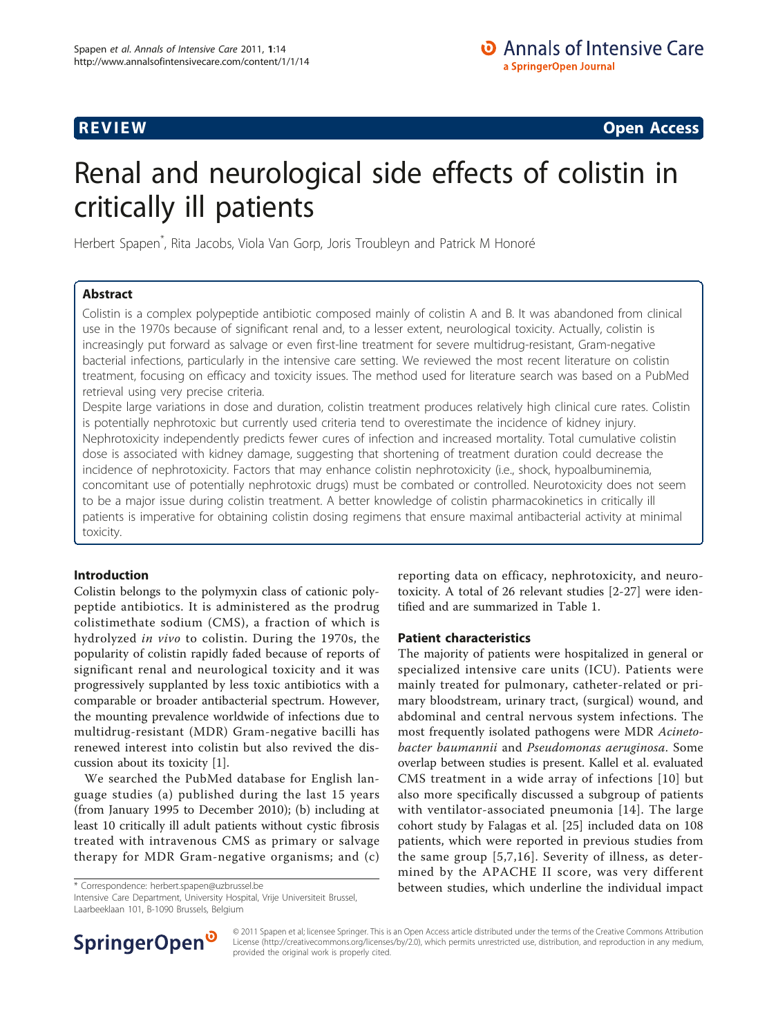**REVIEW CONSTRUCTION CONSTRUCTION CONSTRUCTS** 

# Renal and neurological side effects of colistin in critically ill patients

Herbert Spapen\* , Rita Jacobs, Viola Van Gorp, Joris Troubleyn and Patrick M Honoré

# Abstract

Colistin is a complex polypeptide antibiotic composed mainly of colistin A and B. It was abandoned from clinical use in the 1970s because of significant renal and, to a lesser extent, neurological toxicity. Actually, colistin is increasingly put forward as salvage or even first-line treatment for severe multidrug-resistant, Gram-negative bacterial infections, particularly in the intensive care setting. We reviewed the most recent literature on colistin treatment, focusing on efficacy and toxicity issues. The method used for literature search was based on a PubMed retrieval using very precise criteria.

Despite large variations in dose and duration, colistin treatment produces relatively high clinical cure rates. Colistin is potentially nephrotoxic but currently used criteria tend to overestimate the incidence of kidney injury. Nephrotoxicity independently predicts fewer cures of infection and increased mortality. Total cumulative colistin dose is associated with kidney damage, suggesting that shortening of treatment duration could decrease the incidence of nephrotoxicity. Factors that may enhance colistin nephrotoxicity (i.e., shock, hypoalbuminemia, concomitant use of potentially nephrotoxic drugs) must be combated or controlled. Neurotoxicity does not seem to be a major issue during colistin treatment. A better knowledge of colistin pharmacokinetics in critically ill patients is imperative for obtaining colistin dosing regimens that ensure maximal antibacterial activity at minimal toxicity.

# Introduction

Colistin belongs to the polymyxin class of cationic polypeptide antibiotics. It is administered as the prodrug colistimethate sodium (CMS), a fraction of which is hydrolyzed in vivo to colistin. During the 1970s, the popularity of colistin rapidly faded because of reports of significant renal and neurological toxicity and it was progressively supplanted by less toxic antibiotics with a comparable or broader antibacterial spectrum. However, the mounting prevalence worldwide of infections due to multidrug-resistant (MDR) Gram-negative bacilli has renewed interest into colistin but also revived the discussion about its toxicity [\[1](#page-5-0)].

We searched the PubMed database for English language studies (a) published during the last 15 years (from January 1995 to December 2010); (b) including at least 10 critically ill adult patients without cystic fibrosis treated with intravenous CMS as primary or salvage therapy for MDR Gram-negative organisms; and (c)

Intensive Care Department, University Hospital, Vrije Universiteit Brussel, Laarbeeklaan 101, B-1090 Brussels, Belgium

reporting data on efficacy, nephrotoxicity, and neurotoxicity. A total of 26 relevant studies [\[2](#page-5-0)-[27\]](#page-6-0) were identified and are summarized in Table [1.](#page-1-0)

# Patient characteristics

The majority of patients were hospitalized in general or specialized intensive care units (ICU). Patients were mainly treated for pulmonary, catheter-related or primary bloodstream, urinary tract, (surgical) wound, and abdominal and central nervous system infections. The most frequently isolated pathogens were MDR Acinetobacter baumannii and Pseudomonas aeruginosa. Some overlap between studies is present. Kallel et al. evaluated CMS treatment in a wide array of infections [[10](#page-5-0)] but also more specifically discussed a subgroup of patients with ventilator-associated pneumonia [[14](#page-5-0)]. The large cohort study by Falagas et al. [[25\]](#page-5-0) included data on 108 patients, which were reported in previous studies from the same group [[5,7,16](#page-5-0)]. Severity of illness, as determined by the APACHE II score, was very different between studies, which underline the individual impact \* Correspondence: [herbert.spapen@uzbrussel.be](mailto:herbert.spapen@uzbrussel.be)



© 2011 Spapen et al; licensee Springer. This is an Open Access article distributed under the terms of the Creative Commons Attribution License [\(http://creativecommons.org/licenses/by/2.0](http://creativecommons.org/licenses/by/2.0)), which permits unrestricted use, distribution, and reproduction in any medium, provided the original work is properly cited.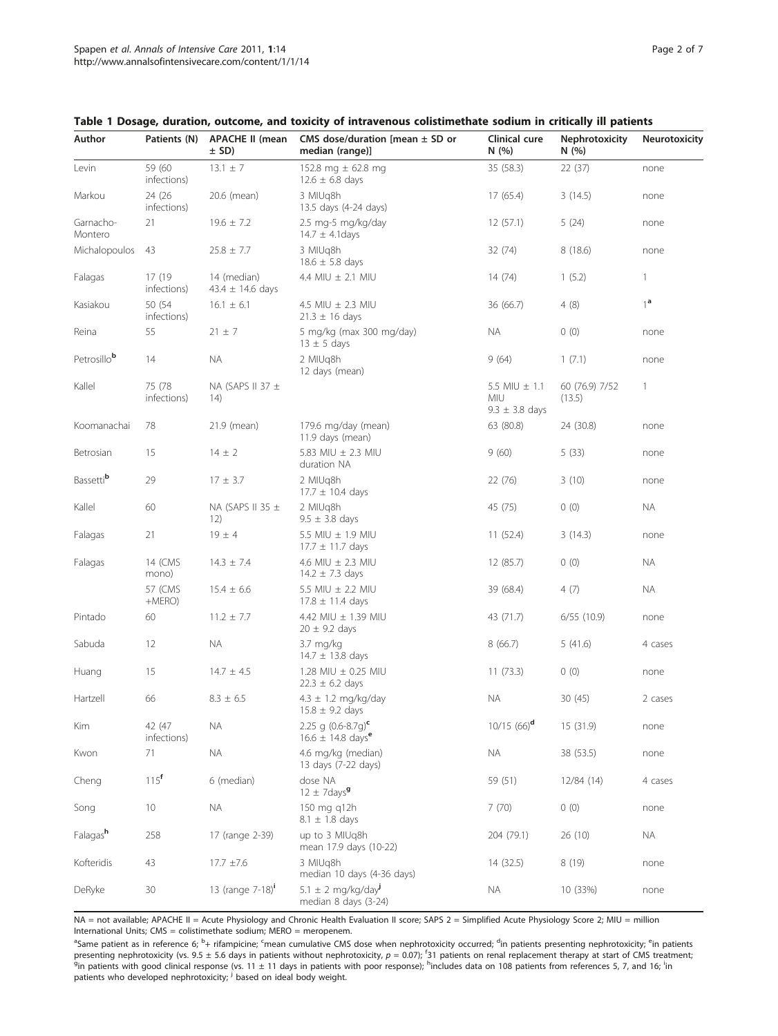<span id="page-1-0"></span>

| Table 1 Dosage, duration, outcome, and toxicity of intravenous colistimethate sodium in critically ill patients |  |  |  |
|-----------------------------------------------------------------------------------------------------------------|--|--|--|
|-----------------------------------------------------------------------------------------------------------------|--|--|--|

| Author               | Patients (N)          | <b>APACHE II (mean</b><br>± SD)     | CMS dose/duration [mean $\pm$ SD or<br>median (range)]     | Clinical cure<br>N(%)                          | Nephrotoxicity<br>N(%)   | Neurotoxicity    |
|----------------------|-----------------------|-------------------------------------|------------------------------------------------------------|------------------------------------------------|--------------------------|------------------|
| Levin                | 59 (60<br>infections) | $13.1 \pm 7$                        | 152.8 mg $\pm$ 62.8 mg<br>$12.6 \pm 6.8$ days              | 35 (58.3)                                      | 22(37)                   | none             |
| Markou               | 24 (26<br>infections) | 20.6 (mean)                         | 3 MIUq8h<br>13.5 days (4-24 days)                          | 17(65.4)                                       | 3(14.5)                  | none             |
| Garnacho-<br>Montero | 21                    | $19.6 \pm 7.2$                      | 2.5 mg-5 mg/kg/day<br>$14.7 \pm 4.1$ days                  | 12(57.1)                                       | 5(24)                    | none             |
| Michalopoulos        | 43                    | $25.8 \pm 7.7$                      | 3 MIUq8h<br>$18.6 \pm 5.8$ days                            | 32 (74)                                        | 8(18.6)                  | none             |
| Falagas              | 17 (19<br>infections) | 14 (median)<br>43.4 $\pm$ 14.6 days | 4.4 MIU ± 2.1 MIU                                          | 14(74)                                         | 1(5.2)                   | $\mathbf{1}$     |
| Kasiakou             | 50 (54<br>infections) | $16.1 \pm 6.1$                      | 4.5 MIU ± 2.3 MIU<br>$21.3 \pm 16$ days                    | 36 (66.7)                                      | 4(8)                     | $1^{\mathsf{a}}$ |
| Reina                | 55                    | $21 \pm 7$                          | 5 mg/kg (max 300 mg/day)<br>$13 \pm 5$ days                | <b>NA</b>                                      | 0(0)                     | none             |
| Petrosillob          | 14                    | <b>NA</b>                           | 2 MIUq8h<br>12 days (mean)                                 | 9(64)                                          | 1(7.1)                   | none             |
| Kallel               | 75 (78<br>infections) | NA (SAPS II 37 $\pm$<br>(14)        |                                                            | 5.5 MIU $\pm$ 1.1<br>MIU<br>$9.3 \pm 3.8$ days | 60 (76.9) 7/52<br>(13.5) | $\mathbf{1}$     |
| Koomanachai          | 78                    | 21.9 (mean)                         | 179.6 mg/day (mean)<br>11.9 days (mean)                    | 63 (80.8)                                      | 24 (30.8)                | none             |
| Betrosian            | 15                    | $14 \pm 2$                          | 5.83 MIU ± 2.3 MIU<br>duration NA                          | 9(60)                                          | 5(33)                    | none             |
| <b>Bassetti</b> b    | 29                    | $17 \pm 3.7$                        | 2 MIUg8h<br>$17.7 \pm 10.4$ days                           | 22 (76)                                        | 3(10)                    | none             |
| Kallel               | 60                    | NA (SAPS II 35 $\pm$<br>12)         | 2 MIUq8h<br>$9.5 \pm 3.8$ days                             | 45 (75)                                        | 0(0)                     | NA.              |
| Falagas              | 21                    | $19 \pm 4$                          | 5.5 MIU ± 1.9 MIU<br>$17.7 \pm 11.7$ days                  | 11(52.4)                                       | 3(14.3)                  | none             |
| Falagas              | 14 (CMS<br>mono)      | $14.3 \pm 7.4$                      | 4.6 MIU ± 2.3 MIU<br>$14.2 \pm 7.3$ days                   | 12(85.7)                                       | 0(0)                     | NA.              |
|                      | 57 (CMS<br>$+MERO$    | $15.4 \pm 6.6$                      | 5.5 MIU ± 2.2 MIU<br>$17.8 \pm 11.4$ days                  | 39 (68.4)                                      | 4(7)                     | NA.              |
| Pintado              | 60                    | $11.2 \pm 7.7$                      | 4.42 MIU ± 1.39 MIU<br>$20 \pm 9.2$ days                   | 43 (71.7)                                      | $6/55$ (10.9)            | none             |
| Sabuda               | 12                    | <b>NA</b>                           | 3.7 mg/kg<br>$14.7 \pm 13.8$ days                          | 8(66.7)                                        | 5(41.6)                  | 4 cases          |
| Huang                | 15                    | $14.7 \pm 4.5$                      | 1.28 MIU ± 0.25 MIU<br>$22.3 \pm 6.2$ days                 | 11(73.3)                                       | 0(0)                     | none             |
| Hartzell             | 66                    | $8.3 \pm 6.5$                       | $4.3 \pm 1.2$ mg/kg/day<br>$15.8 \pm 9.2$ days             | <b>NA</b>                                      | 30(45)                   | 2 cases          |
| Kim                  | 42 (47<br>infections) | ΝA                                  | 2.25 g $(0.6-8.7g)^c$<br>$16.6 \pm 14.8$ days <sup>e</sup> | $10/15$ (66) <sup>d</sup>                      | 15 (31.9)                | none             |
| Kwon                 | 71                    | ΝA                                  | 4.6 mg/kg (median)<br>13 days (7-22 days)                  | <b>NA</b>                                      | 38 (53.5)                | none             |
| Cheng                | 115 <sup>f</sup>      | 6 (median)                          | dose NA<br>$12 \pm 7$ days <sup>9</sup>                    | 59 (51)                                        | 12/84 (14)               | 4 cases          |
| Song                 | 10 <sup>°</sup>       | ΝA                                  | 150 mg g12h<br>$8.1 \pm 1.8$ days                          | 7(70)                                          | 0(0)                     | none             |
| Falagash             | 258                   | 17 (range 2-39)                     | up to 3 MIUq8h<br>mean 17.9 days (10-22)                   | 204 (79.1)                                     | 26 (10)                  | ΝA               |
| Kofteridis           | 43                    | 17.7 ±7.6                           | 3 MIUq8h<br>median 10 days (4-36 days)                     | 14(32.5)                                       | 8 (19)                   | none             |
| DeRyke               | 30                    | 13 (range 7-18)                     | $5.1 \pm 2$ mg/kg/day<br>median 8 days (3-24)              | NA.                                            | 10 (33%)                 | none             |

NA = not available; APACHE II = Acute Physiology and Chronic Health Evaluation II score; SAPS 2 = Simplified Acute Physiology Score 2; MIU = million International Units; CMS = colistimethate sodium; MERO = meropenem.

<sup>a</sup>Same patient as in reference 6; <sup>b</sup>+ rifampicine; <sup>c</sup>mean cumulative CMS dose when nephrotoxicity occurred; <sup>d</sup>in patients presenting nephrotoxicity; <sup>e</sup>in patients<br>presenting nephrotoxicity (vs. 9.5 ± 5.6 days in pati in patients with good clinical response (vs. 11  $\pm$  11 days in patients with poor response); <sup>h</sup>includes data on 108 patients from references 5, 7, and 16; <sup>i</sup>in patients who developed nephrotoxicity; <sup>j</sup> based on ideal body weight.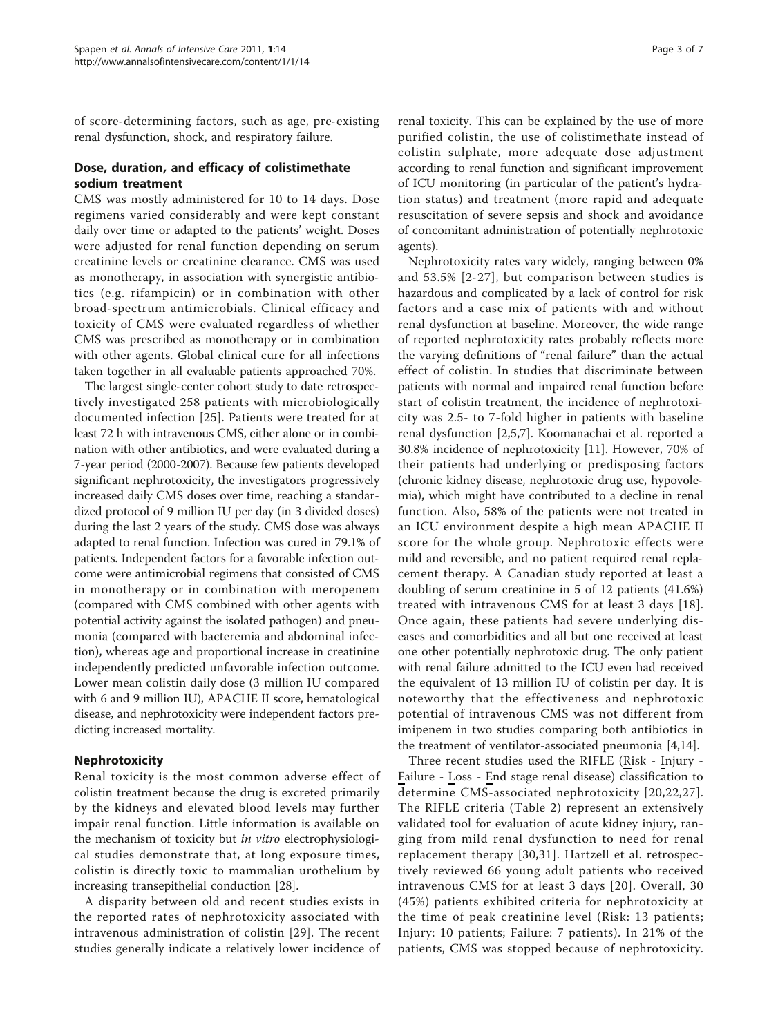of score-determining factors, such as age, pre-existing renal dysfunction, shock, and respiratory failure.

# Dose, duration, and efficacy of colistimethate sodium treatment

CMS was mostly administered for 10 to 14 days. Dose regimens varied considerably and were kept constant daily over time or adapted to the patients' weight. Doses were adjusted for renal function depending on serum creatinine levels or creatinine clearance. CMS was used as monotherapy, in association with synergistic antibiotics (e.g. rifampicin) or in combination with other broad-spectrum antimicrobials. Clinical efficacy and toxicity of CMS were evaluated regardless of whether CMS was prescribed as monotherapy or in combination with other agents. Global clinical cure for all infections taken together in all evaluable patients approached 70%.

The largest single-center cohort study to date retrospectively investigated 258 patients with microbiologically documented infection [[25](#page-5-0)]. Patients were treated for at least 72 h with intravenous CMS, either alone or in combination with other antibiotics, and were evaluated during a 7-year period (2000-2007). Because few patients developed significant nephrotoxicity, the investigators progressively increased daily CMS doses over time, reaching a standardized protocol of 9 million IU per day (in 3 divided doses) during the last 2 years of the study. CMS dose was always adapted to renal function. Infection was cured in 79.1% of patients. Independent factors for a favorable infection outcome were antimicrobial regimens that consisted of CMS in monotherapy or in combination with meropenem (compared with CMS combined with other agents with potential activity against the isolated pathogen) and pneumonia (compared with bacteremia and abdominal infection), whereas age and proportional increase in creatinine independently predicted unfavorable infection outcome. Lower mean colistin daily dose (3 million IU compared with 6 and 9 million IU), APACHE II score, hematological disease, and nephrotoxicity were independent factors predicting increased mortality.

# Nephrotoxicity

Renal toxicity is the most common adverse effect of colistin treatment because the drug is excreted primarily by the kidneys and elevated blood levels may further impair renal function. Little information is available on the mechanism of toxicity but in vitro electrophysiological studies demonstrate that, at long exposure times, colistin is directly toxic to mammalian urothelium by increasing transepithelial conduction [[28\]](#page-6-0).

A disparity between old and recent studies exists in the reported rates of nephrotoxicity associated with intravenous administration of colistin [[29\]](#page-6-0). The recent studies generally indicate a relatively lower incidence of renal toxicity. This can be explained by the use of more purified colistin, the use of colistimethate instead of colistin sulphate, more adequate dose adjustment according to renal function and significant improvement of ICU monitoring (in particular of the patient's hydration status) and treatment (more rapid and adequate resuscitation of severe sepsis and shock and avoidance of concomitant administration of potentially nephrotoxic agents).

Nephrotoxicity rates vary widely, ranging between 0% and 53.5% [[2-](#page-5-0)[27](#page-6-0)], but comparison between studies is hazardous and complicated by a lack of control for risk factors and a case mix of patients with and without renal dysfunction at baseline. Moreover, the wide range of reported nephrotoxicity rates probably reflects more the varying definitions of "renal failure" than the actual effect of colistin. In studies that discriminate between patients with normal and impaired renal function before start of colistin treatment, the incidence of nephrotoxicity was 2.5- to 7-fold higher in patients with baseline renal dysfunction [[2,5,7](#page-5-0)]. Koomanachai et al. reported a 30.8% incidence of nephrotoxicity [\[11](#page-5-0)]. However, 70% of their patients had underlying or predisposing factors (chronic kidney disease, nephrotoxic drug use, hypovolemia), which might have contributed to a decline in renal function. Also, 58% of the patients were not treated in an ICU environment despite a high mean APACHE II score for the whole group. Nephrotoxic effects were mild and reversible, and no patient required renal replacement therapy. A Canadian study reported at least a doubling of serum creatinine in 5 of 12 patients (41.6%) treated with intravenous CMS for at least 3 days [[18](#page-5-0)]. Once again, these patients had severe underlying diseases and comorbidities and all but one received at least one other potentially nephrotoxic drug. The only patient with renal failure admitted to the ICU even had received the equivalent of 13 million IU of colistin per day. It is noteworthy that the effectiveness and nephrotoxic potential of intravenous CMS was not different from imipenem in two studies comparing both antibiotics in the treatment of ventilator-associated pneumonia [[4,14](#page-5-0)].

Three recent studies used the RIFLE (Risk - Injury - Failure - Loss - End stage renal disease) classification to determine CMS-associated nephrotoxicity [[20](#page-5-0),[22](#page-5-0),[27\]](#page-6-0). The RIFLE criteria (Table [2\)](#page-3-0) represent an extensively validated tool for evaluation of acute kidney injury, ranging from mild renal dysfunction to need for renal replacement therapy [[30](#page-6-0),[31\]](#page-6-0). Hartzell et al. retrospectively reviewed 66 young adult patients who received intravenous CMS for at least 3 days [[20](#page-5-0)]. Overall, 30 (45%) patients exhibited criteria for nephrotoxicity at the time of peak creatinine level (Risk: 13 patients; Injury: 10 patients; Failure: 7 patients). In 21% of the patients, CMS was stopped because of nephrotoxicity.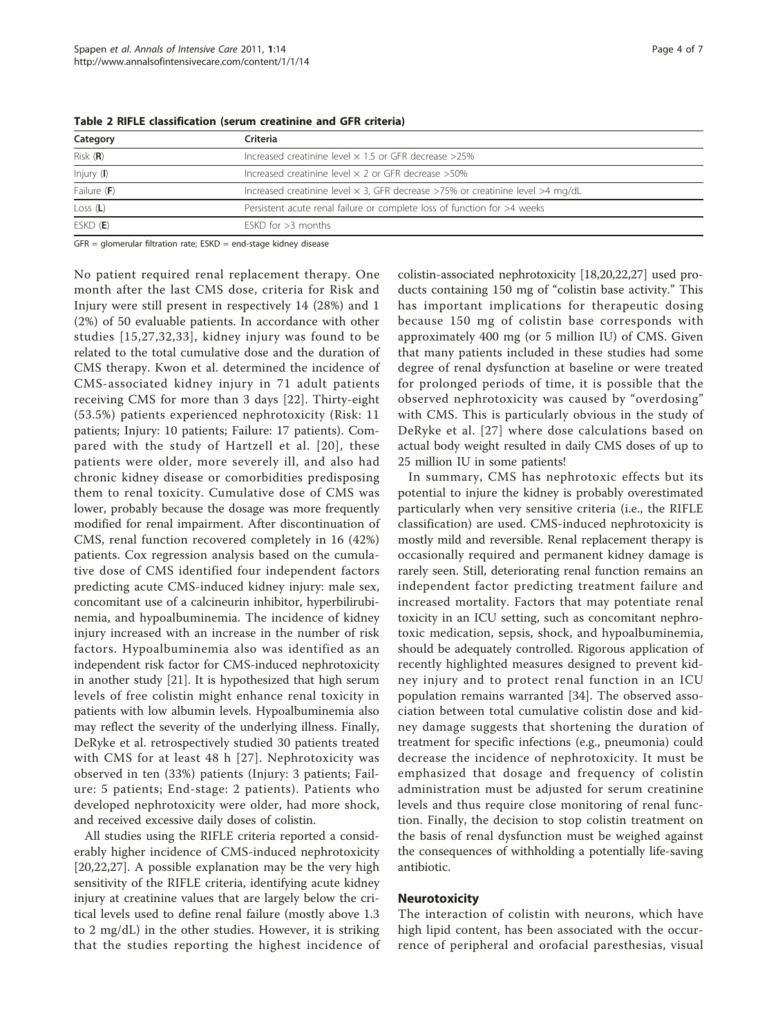| Category      | Criteria                                                                              |  |
|---------------|---------------------------------------------------------------------------------------|--|
| Risk(R)       | Increased creatinine level $\times$ 1.5 or GFR decrease >25%                          |  |
| Injury (I)    | Increased creatinine level $\times$ 2 or GFR decrease $>50\%$                         |  |
| Failure $(F)$ | Increased creatinine level $\times$ 3, GFR decrease >75% or creatinine level >4 mg/dL |  |
| Loss (L)      | Persistent acute renal failure or complete loss of function for >4 weeks              |  |
| $ESKD$ $(E)$  | $FSKD$ for $>3$ months                                                                |  |

<span id="page-3-0"></span>Table 2 RIFLE classification (serum creatinine and GFR criteria)

GFR = glomerular filtration rate; ESKD = end-stage kidney disease

No patient required renal replacement therapy. One month after the last CMS dose, criteria for Risk and Injury were still present in respectively 14 (28%) and 1 (2%) of 50 evaluable patients. In accordance with other studies [[15,](#page-5-0)[27,32](#page-6-0),[33](#page-6-0)], kidney injury was found to be related to the total cumulative dose and the duration of CMS therapy. Kwon et al. determined the incidence of CMS-associated kidney injury in 71 adult patients receiving CMS for more than 3 days [[22](#page-5-0)]. Thirty-eight (53.5%) patients experienced nephrotoxicity (Risk: 11 patients; Injury: 10 patients; Failure: 17 patients). Compared with the study of Hartzell et al. [[20\]](#page-5-0), these patients were older, more severely ill, and also had chronic kidney disease or comorbidities predisposing them to renal toxicity. Cumulative dose of CMS was lower, probably because the dosage was more frequently modified for renal impairment. After discontinuation of CMS, renal function recovered completely in 16 (42%) patients. Cox regression analysis based on the cumulative dose of CMS identified four independent factors predicting acute CMS-induced kidney injury: male sex, concomitant use of a calcineurin inhibitor, hyperbilirubinemia, and hypoalbuminemia. The incidence of kidney injury increased with an increase in the number of risk factors. Hypoalbuminemia also was identified as an independent risk factor for CMS-induced nephrotoxicity in another study [[21\]](#page-5-0). It is hypothesized that high serum levels of free colistin might enhance renal toxicity in patients with low albumin levels. Hypoalbuminemia also may reflect the severity of the underlying illness. Finally, DeRyke et al. retrospectively studied 30 patients treated with CMS for at least 48 h [\[27\]](#page-6-0). Nephrotoxicity was observed in ten (33%) patients (Injury: 3 patients; Failure: 5 patients; End-stage: 2 patients). Patients who developed nephrotoxicity were older, had more shock, and received excessive daily doses of colistin.

All studies using the RIFLE criteria reported a considerably higher incidence of CMS-induced nephrotoxicity [[20,22](#page-5-0)[,27](#page-6-0)]. A possible explanation may be the very high sensitivity of the RIFLE criteria, identifying acute kidney injury at creatinine values that are largely below the critical levels used to define renal failure (mostly above 1.3 to 2 mg/dL) in the other studies. However, it is striking that the studies reporting the highest incidence of

colistin-associated nephrotoxicity [\[18,20,22,](#page-5-0)[27\]](#page-6-0) used products containing 150 mg of "colistin base activity." This has important implications for therapeutic dosing because 150 mg of colistin base corresponds with approximately 400 mg (or 5 million IU) of CMS. Given that many patients included in these studies had some degree of renal dysfunction at baseline or were treated for prolonged periods of time, it is possible that the observed nephrotoxicity was caused by "overdosing" with CMS. This is particularly obvious in the study of DeRyke et al. [\[27](#page-6-0)] where dose calculations based on actual body weight resulted in daily CMS doses of up to 25 million IU in some patients!

In summary, CMS has nephrotoxic effects but its potential to injure the kidney is probably overestimated particularly when very sensitive criteria (i.e., the RIFLE classification) are used. CMS-induced nephrotoxicity is mostly mild and reversible. Renal replacement therapy is occasionally required and permanent kidney damage is rarely seen. Still, deteriorating renal function remains an independent factor predicting treatment failure and increased mortality. Factors that may potentiate renal toxicity in an ICU setting, such as concomitant nephrotoxic medication, sepsis, shock, and hypoalbuminemia, should be adequately controlled. Rigorous application of recently highlighted measures designed to prevent kidney injury and to protect renal function in an ICU population remains warranted [\[34](#page-6-0)]. The observed association between total cumulative colistin dose and kidney damage suggests that shortening the duration of treatment for specific infections (e.g., pneumonia) could decrease the incidence of nephrotoxicity. It must be emphasized that dosage and frequency of colistin administration must be adjusted for serum creatinine levels and thus require close monitoring of renal function. Finally, the decision to stop colistin treatment on the basis of renal dysfunction must be weighed against the consequences of withholding a potentially life-saving antibiotic.

#### Neurotoxicity

The interaction of colistin with neurons, which have high lipid content, has been associated with the occurrence of peripheral and orofacial paresthesias, visual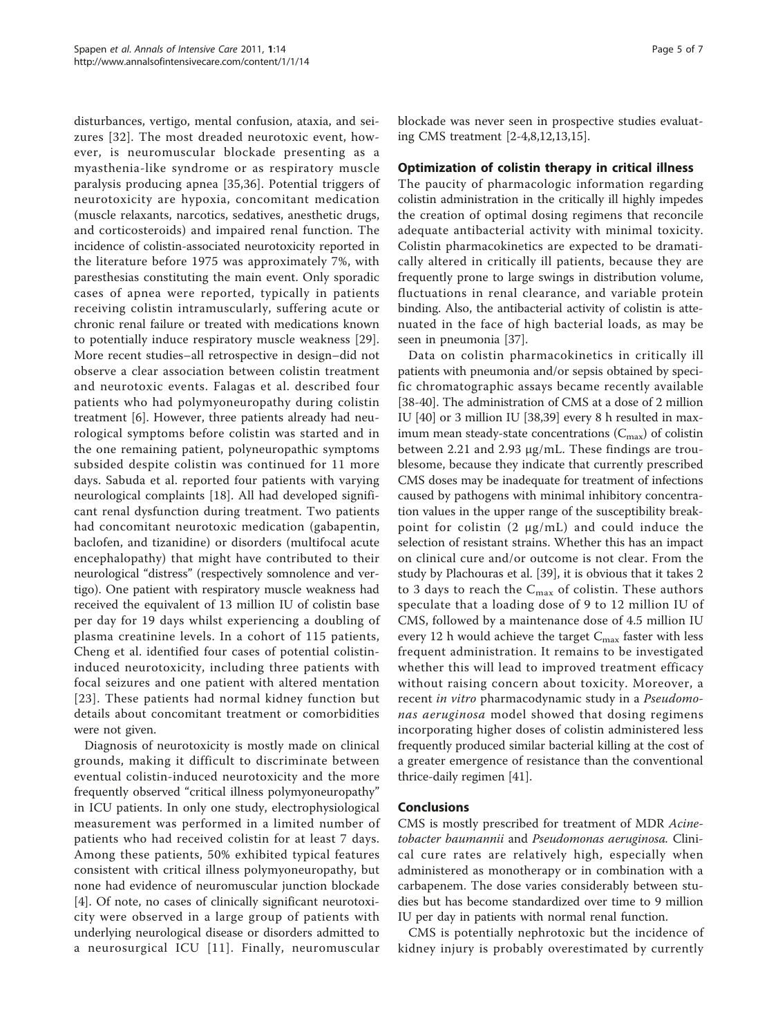disturbances, vertigo, mental confusion, ataxia, and seizures [[32\]](#page-6-0). The most dreaded neurotoxic event, however, is neuromuscular blockade presenting as a myasthenia-like syndrome or as respiratory muscle paralysis producing apnea [[35](#page-6-0),[36\]](#page-6-0). Potential triggers of neurotoxicity are hypoxia, concomitant medication (muscle relaxants, narcotics, sedatives, anesthetic drugs, and corticosteroids) and impaired renal function. The incidence of colistin-associated neurotoxicity reported in the literature before 1975 was approximately 7%, with paresthesias constituting the main event. Only sporadic cases of apnea were reported, typically in patients receiving colistin intramuscularly, suffering acute or chronic renal failure or treated with medications known to potentially induce respiratory muscle weakness [[29](#page-6-0)]. More recent studies–all retrospective in design–did not observe a clear association between colistin treatment and neurotoxic events. Falagas et al. described four patients who had polymyoneuropathy during colistin treatment [[6\]](#page-5-0). However, three patients already had neurological symptoms before colistin was started and in the one remaining patient, polyneuropathic symptoms subsided despite colistin was continued for 11 more days. Sabuda et al. reported four patients with varying neurological complaints [[18\]](#page-5-0). All had developed significant renal dysfunction during treatment. Two patients had concomitant neurotoxic medication (gabapentin, baclofen, and tizanidine) or disorders (multifocal acute encephalopathy) that might have contributed to their neurological "distress" (respectively somnolence and vertigo). One patient with respiratory muscle weakness had received the equivalent of 13 million IU of colistin base per day for 19 days whilst experiencing a doubling of plasma creatinine levels. In a cohort of 115 patients, Cheng et al. identified four cases of potential colistininduced neurotoxicity, including three patients with focal seizures and one patient with altered mentation [[23\]](#page-5-0). These patients had normal kidney function but details about concomitant treatment or comorbidities were not given.

Diagnosis of neurotoxicity is mostly made on clinical grounds, making it difficult to discriminate between eventual colistin-induced neurotoxicity and the more frequently observed "critical illness polymyoneuropathy" in ICU patients. In only one study, electrophysiological measurement was performed in a limited number of patients who had received colistin for at least 7 days. Among these patients, 50% exhibited typical features consistent with critical illness polymyoneuropathy, but none had evidence of neuromuscular junction blockade [[4\]](#page-5-0). Of note, no cases of clinically significant neurotoxicity were observed in a large group of patients with underlying neurological disease or disorders admitted to a neurosurgical ICU [[11](#page-5-0)]. Finally, neuromuscular blockade was never seen in prospective studies evaluating CMS treatment [[2-4,8,12,13,15\]](#page-5-0).

### Optimization of colistin therapy in critical illness

The paucity of pharmacologic information regarding colistin administration in the critically ill highly impedes the creation of optimal dosing regimens that reconcile adequate antibacterial activity with minimal toxicity. Colistin pharmacokinetics are expected to be dramatically altered in critically ill patients, because they are frequently prone to large swings in distribution volume, fluctuations in renal clearance, and variable protein binding. Also, the antibacterial activity of colistin is attenuated in the face of high bacterial loads, as may be seen in pneumonia [\[37](#page-6-0)].

Data on colistin pharmacokinetics in critically ill patients with pneumonia and/or sepsis obtained by specific chromatographic assays became recently available [[38-40\]](#page-6-0). The administration of CMS at a dose of 2 million IU [\[40\]](#page-6-0) or 3 million IU [\[38,39\]](#page-6-0) every 8 h resulted in maximum mean steady-state concentrations  $(C_{\text{max}})$  of colistin between 2.21 and 2.93 μg/mL. These findings are troublesome, because they indicate that currently prescribed CMS doses may be inadequate for treatment of infections caused by pathogens with minimal inhibitory concentration values in the upper range of the susceptibility breakpoint for colistin (2 μg/mL) and could induce the selection of resistant strains. Whether this has an impact on clinical cure and/or outcome is not clear. From the study by Plachouras et al. [[39](#page-6-0)], it is obvious that it takes 2 to 3 days to reach the  $C_{\text{max}}$  of colistin. These authors speculate that a loading dose of 9 to 12 million IU of CMS, followed by a maintenance dose of 4.5 million IU every 12 h would achieve the target  $C_{\rm max}$  faster with less frequent administration. It remains to be investigated whether this will lead to improved treatment efficacy without raising concern about toxicity. Moreover, a recent in vitro pharmacodynamic study in a Pseudomonas aeruginosa model showed that dosing regimens incorporating higher doses of colistin administered less frequently produced similar bacterial killing at the cost of a greater emergence of resistance than the conventional thrice-daily regimen [\[41](#page-6-0)].

#### Conclusions

CMS is mostly prescribed for treatment of MDR Acinetobacter baumannii and Pseudomonas aeruginosa. Clinical cure rates are relatively high, especially when administered as monotherapy or in combination with a carbapenem. The dose varies considerably between studies but has become standardized over time to 9 million IU per day in patients with normal renal function.

CMS is potentially nephrotoxic but the incidence of kidney injury is probably overestimated by currently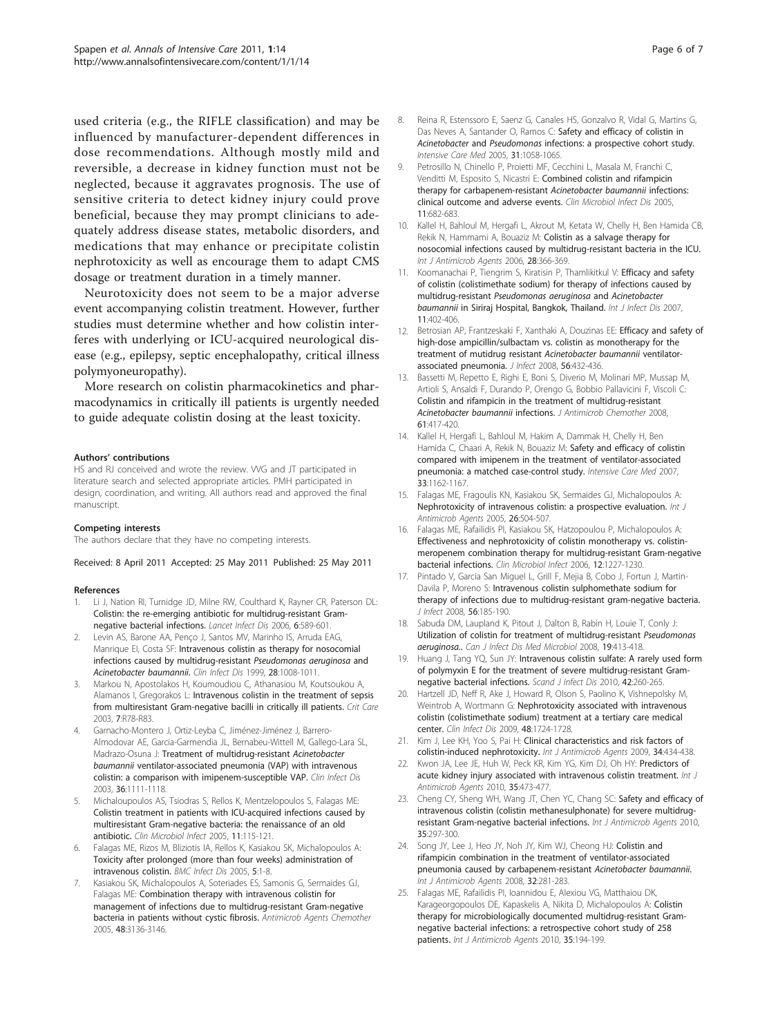<span id="page-5-0"></span>used criteria (e.g., the RIFLE classification) and may be influenced by manufacturer-dependent differences in dose recommendations. Although mostly mild and reversible, a decrease in kidney function must not be neglected, because it aggravates prognosis. The use of sensitive criteria to detect kidney injury could prove beneficial, because they may prompt clinicians to adequately address disease states, metabolic disorders, and medications that may enhance or precipitate colistin nephrotoxicity as well as encourage them to adapt CMS dosage or treatment duration in a timely manner.

Neurotoxicity does not seem to be a major adverse event accompanying colistin treatment. However, further studies must determine whether and how colistin interferes with underlying or ICU-acquired neurological disease (e.g., epilepsy, septic encephalopathy, critical illness polymyoneuropathy).

More research on colistin pharmacokinetics and pharmacodynamics in critically ill patients is urgently needed to guide adequate colistin dosing at the least toxicity.

#### Authors' contributions

HS and RJ conceived and wrote the review. VVG and JT participated in literature search and selected appropriate articles. PMH participated in design, coordination, and writing. All authors read and approved the final manuscript.

#### Competing interests

The authors declare that they have no competing interests.

#### Received: 8 April 2011 Accepted: 25 May 2011 Published: 25 May 2011

#### References

- 1. Li J, Nation RI, Turnidge JD, Milne RW, Coulthard K, Rayner CR, Paterson DL: [Colistin: the re-emerging antibiotic for multidrug-resistant Gram](http://www.ncbi.nlm.nih.gov/pubmed/16931410?dopt=Abstract)[negative bacterial infections.](http://www.ncbi.nlm.nih.gov/pubmed/16931410?dopt=Abstract) Lancet Infect Dis 2006, 6:589-601.
- 2. Levin AS, Barone AA, Penço J, Santos MV, Marinho IS, Arruda EAG, Manrique EI, Costa SF: [Intravenous colistin as therapy for nosocomial](http://www.ncbi.nlm.nih.gov/pubmed/10452626?dopt=Abstract) [infections caused by multidrug-resistant](http://www.ncbi.nlm.nih.gov/pubmed/10452626?dopt=Abstract) Pseudomonas aeruginosa and [Acinetobacter baumannii](http://www.ncbi.nlm.nih.gov/pubmed/10452626?dopt=Abstract). Clin Infect Dis 1999, 28:1008-1011.
- Markou N, Apostolakos H, Koumoudiou C, Athanasiou M, Koutsoukou A, Alamanos I, Gregorakos L: [Intravenous colistin in the treatment of sepsis](http://www.ncbi.nlm.nih.gov/pubmed/12974973?dopt=Abstract) [from multiresistant Gram-negative bacilli in critically ill patients.](http://www.ncbi.nlm.nih.gov/pubmed/12974973?dopt=Abstract) Crit Care 2003, 7:R78-R83.
- Garnacho-Montero J, Ortiz-Leyba C, Jiménez-Jiménez J, Barrero-Almodovar AE, Garcia-Garmendia JL, Bernabeu-Wittell M, Gallego-Lara SL, Madrazo-Osuna J: [Treatment of multidrug-resistant](http://www.ncbi.nlm.nih.gov/pubmed/12715304?dopt=Abstract) Acinetobacter baumannii [ventilator-associated pneumonia \(VAP\) with intravenous](http://www.ncbi.nlm.nih.gov/pubmed/12715304?dopt=Abstract) [colistin: a comparison with imipenem-susceptible VAP.](http://www.ncbi.nlm.nih.gov/pubmed/12715304?dopt=Abstract) Clin Infect Dis 2003, 36:1111-1118.
- Michaloupoulos AS, Tsiodras S, Rellos K, Mentzelopoulos S, Falagas ME: [Colistin treatment in patients with ICU-acquired infections caused by](http://www.ncbi.nlm.nih.gov/pubmed/15679485?dopt=Abstract) [multiresistant Gram-negative bacteria: the renaissance of an old](http://www.ncbi.nlm.nih.gov/pubmed/15679485?dopt=Abstract) [antibiotic.](http://www.ncbi.nlm.nih.gov/pubmed/15679485?dopt=Abstract) Clin Microbiol Infect 2005, 11:115-121.
- 6. Falagas ME, Rizos M, Bliziotis IA, Rellos K, Kasiakou SK, Michalopoulos A: [Toxicity after prolonged \(more than four weeks\) administration of](http://www.ncbi.nlm.nih.gov/pubmed/15642116?dopt=Abstract) [intravenous colistin.](http://www.ncbi.nlm.nih.gov/pubmed/15642116?dopt=Abstract) BMC Infect Dis 2005, 5:1-8.
- Kasiakou SK, Michalopoulos A, Soteriades ES, Samonis G, Sermaides GJ, Falagas ME: Combination therapy with intravenous colistin for management of infections due to multidrug-resistant Gram-negative bacteria in patients without cystic fibrosis. Antimicrob Agents Chemother 2005, 48:3136-3146.
- 8. Reina R, Estenssoro E, Saenz G, Canales HS, Gonzalvo R, Vidal G, Martins G, Das Neves A, Santander O, Ramos C: [Safety and efficacy of colistin in](http://www.ncbi.nlm.nih.gov/pubmed/15983759?dopt=Abstract) Acinetobacter and Pseudomonas [infections: a prospective cohort study.](http://www.ncbi.nlm.nih.gov/pubmed/15983759?dopt=Abstract) Intensive Care Med 2005, 31:1058-1065.
- 9. Petrosillo N, Chinello P, Proietti MF, Cecchini L, Masala M, Franchi C, Venditti M, Esposito S, Nicastri E: Combined colistin and rifampicin therapy for carbapenem-resistant Acinetobacter baumannii infections: clinical outcome and adverse events. Clin Microbiol Infect Dis 2005, 11:682-683.
- 10. Kallel H, Bahloul M, Hergafi L, Akrout M, Ketata W, Chelly H, Ben Hamida CB, Rekik N, Hammami A, Bouaziz M: [Colistin as a salvage therapy for](http://www.ncbi.nlm.nih.gov/pubmed/16971093?dopt=Abstract) [nosocomial infections caused by multidrug-resistant bacteria in the ICU.](http://www.ncbi.nlm.nih.gov/pubmed/16971093?dopt=Abstract) Int J Antimicrob Agents 2006, 28:366-369.
- 11. Koomanachai P, Tiengrim S, Kiratisin P, Thamlikitkul V: [Efficacy and safety](http://www.ncbi.nlm.nih.gov/pubmed/17291803?dopt=Abstract) [of colistin \(colistimethate sodium\) for therapy of infections caused by](http://www.ncbi.nlm.nih.gov/pubmed/17291803?dopt=Abstract) multidrug-resistant [Pseudomonas aeruginosa](http://www.ncbi.nlm.nih.gov/pubmed/17291803?dopt=Abstract) and Acinetobacter baumannii [in Siriraj Hospital, Bangkok, Thailand.](http://www.ncbi.nlm.nih.gov/pubmed/17291803?dopt=Abstract) Int J Infect Dis 2007, 11:402-406.
- 12. Betrosian AP, Frantzeskaki F, Xanthaki A, Douzinas EE: [Efficacy and safety of](http://www.ncbi.nlm.nih.gov/pubmed/18501431?dopt=Abstract) [high-dose ampicillin/sulbactam vs. colistin as monotherapy for the](http://www.ncbi.nlm.nih.gov/pubmed/18501431?dopt=Abstract) [treatment of mutidrug resistant](http://www.ncbi.nlm.nih.gov/pubmed/18501431?dopt=Abstract) Acinetobacter baumannii ventilator[associated pneumonia.](http://www.ncbi.nlm.nih.gov/pubmed/18501431?dopt=Abstract) J Infect 2008, 56:432-436.
- 13. Bassetti M, Repetto E, Righi E, Boni S, Diverio M, Molinari MP, Mussap M, Artioli S, Ansaldi F, Durando P, Orengo G, Bobbio Pallavicini F, Viscoli C: [Colistin and rifampicin in the treatment of multidrug-resistant](http://www.ncbi.nlm.nih.gov/pubmed/18174197?dopt=Abstract) [Acinetobacter baumannii](http://www.ncbi.nlm.nih.gov/pubmed/18174197?dopt=Abstract) infections. J Antimicrob Chemother 2008, 61:417-420.
- 14. Kallel H, Hergafi L, Bahloul M, Hakim A, Dammak H, Chelly H, Ben Hamida C, Chaari A, Rekik N, Bouaziz M: [Safety and efficacy of colistin](http://www.ncbi.nlm.nih.gov/pubmed/17530220?dopt=Abstract) [compared with imipenem in the treatment of ventilator-associated](http://www.ncbi.nlm.nih.gov/pubmed/17530220?dopt=Abstract) [pneumonia: a matched case-control study.](http://www.ncbi.nlm.nih.gov/pubmed/17530220?dopt=Abstract) Intensive Care Med 2007, 33:1162-1167.
- 15. Falagas ME, Fragoulis KN, Kasiakou SK, Sermaides GJ, Michalopoulos A: [Nephrotoxicity of intravenous colistin: a prospective evaluation.](http://www.ncbi.nlm.nih.gov/pubmed/16280245?dopt=Abstract) Int J Antimicrob Agents 2005, 26:504-507.
- 16. Falagas ME, Rafailidis PI, Kasiakou SK, Hatzopoulou P, Michalopoulos A: [Effectiveness and nephrotoxicity of colistin monotherapy vs. colistin](http://www.ncbi.nlm.nih.gov/pubmed/17121631?dopt=Abstract)[meropenem combination therapy for multidrug-resistant Gram-negative](http://www.ncbi.nlm.nih.gov/pubmed/17121631?dopt=Abstract) [bacterial infections.](http://www.ncbi.nlm.nih.gov/pubmed/17121631?dopt=Abstract) Clin Microbiol Infect 2006, 12:1227-1230.
- 17. Pintado V, Garcia San Miguel L, Grill F, Mejia B, Cobo J, Fortun J, Martin-Davila P, Moreno S: [Intravenous colistin sulphomethate sodium for](http://www.ncbi.nlm.nih.gov/pubmed/18280570?dopt=Abstract) [therapy of infections due to multidrug-resistant gram-negative bacteria.](http://www.ncbi.nlm.nih.gov/pubmed/18280570?dopt=Abstract) J Infect 2008, 56:185-190.
- 18. Sabuda DM, Laupland K, Pitout J, Dalton B, Rabin H, Louie T, Conly J: [Utilization of colistin for treatment of multidrug-resistant](http://www.ncbi.nlm.nih.gov/pubmed/19436571?dopt=Abstract) Pseudomonas [aeruginosa.](http://www.ncbi.nlm.nih.gov/pubmed/19436571?dopt=Abstract). Can J Infect Dis Med Microbiol 2008, 19:413-418.
- 19. Huang J, Tang YQ, Sun JY: [Intravenous colistin sulfate: A rarely used form](http://www.ncbi.nlm.nih.gov/pubmed/20085424?dopt=Abstract) [of polymyxin E for the treatment of severe multidrug-resistant Gram](http://www.ncbi.nlm.nih.gov/pubmed/20085424?dopt=Abstract)[negative bacterial infections.](http://www.ncbi.nlm.nih.gov/pubmed/20085424?dopt=Abstract) Scand J Infect Dis 2010, 42:260-265.
- 20. Hartzell JD, Neff R, Ake J, Howard R, Olson S, Paolino K, Vishnepolsky M, Weintrob A, Wortmann G: [Nephrotoxicity associated with intravenous](http://www.ncbi.nlm.nih.gov/pubmed/19438394?dopt=Abstract) [colistin \(colistimethate sodium\) treatment at a tertiary care medical](http://www.ncbi.nlm.nih.gov/pubmed/19438394?dopt=Abstract) [center.](http://www.ncbi.nlm.nih.gov/pubmed/19438394?dopt=Abstract) Clin Infect Dis 2009, 48:1724-1728.
- 21. Kim J, Lee KH, Yoo S, Pai H: [Clinical characteristics and risk factors of](http://www.ncbi.nlm.nih.gov/pubmed/19726164?dopt=Abstract) [colistin-induced nephrotoxicity.](http://www.ncbi.nlm.nih.gov/pubmed/19726164?dopt=Abstract) Int J Antimicrob Agents 2009, 34:434-438.
- 22. Kwon JA, Lee JE, Huh W, Peck KR, Kim YG, Kim DJ, Oh HY: [Predictors of](http://www.ncbi.nlm.nih.gov/pubmed/20089383?dopt=Abstract) [acute kidney injury associated with intravenous colistin treatment.](http://www.ncbi.nlm.nih.gov/pubmed/20089383?dopt=Abstract) Int J Antimicrob Agents 2010, 35:473-477.
- 23. Cheng CY, Sheng WH, Wang JT, Chen YC, Chang SC: [Safety and efficacy of](http://www.ncbi.nlm.nih.gov/pubmed/20045293?dopt=Abstract) [intravenous colistin \(colistin methanesulphonate\) for severe multidrug](http://www.ncbi.nlm.nih.gov/pubmed/20045293?dopt=Abstract)[resistant Gram-negative bacterial infections.](http://www.ncbi.nlm.nih.gov/pubmed/20045293?dopt=Abstract) Int J Antimicrob Agents 2010, 35:297-300.
- 24. Song JY, Lee J, Heo JY, Noh JY, Kim WJ, Cheong HJ: [Colistin and](http://www.ncbi.nlm.nih.gov/pubmed/18650070?dopt=Abstract) [rifampicin combination in the treatment of ventilator-associated](http://www.ncbi.nlm.nih.gov/pubmed/18650070?dopt=Abstract) [pneumonia caused by carbapenem-resistant](http://www.ncbi.nlm.nih.gov/pubmed/18650070?dopt=Abstract) Acinetobacter baumannii. Int J Antimicrob Agents 2008, 32:281-283.
- 25. Falagas ME, Rafailidis PI, Ioannidou E, Alexiou VG, Matthaiou DK, Karageorgopoulos DE, Kapaskelis A, Nikita D, Michalopoulos A: [Colistin](http://www.ncbi.nlm.nih.gov/pubmed/20006471?dopt=Abstract) [therapy for microbiologically documented multidrug-resistant Gram](http://www.ncbi.nlm.nih.gov/pubmed/20006471?dopt=Abstract)[negative bacterial infections: a retrospective cohort study of 258](http://www.ncbi.nlm.nih.gov/pubmed/20006471?dopt=Abstract) [patients.](http://www.ncbi.nlm.nih.gov/pubmed/20006471?dopt=Abstract) Int J Antimicrob Agents 2010, 35:194-199.